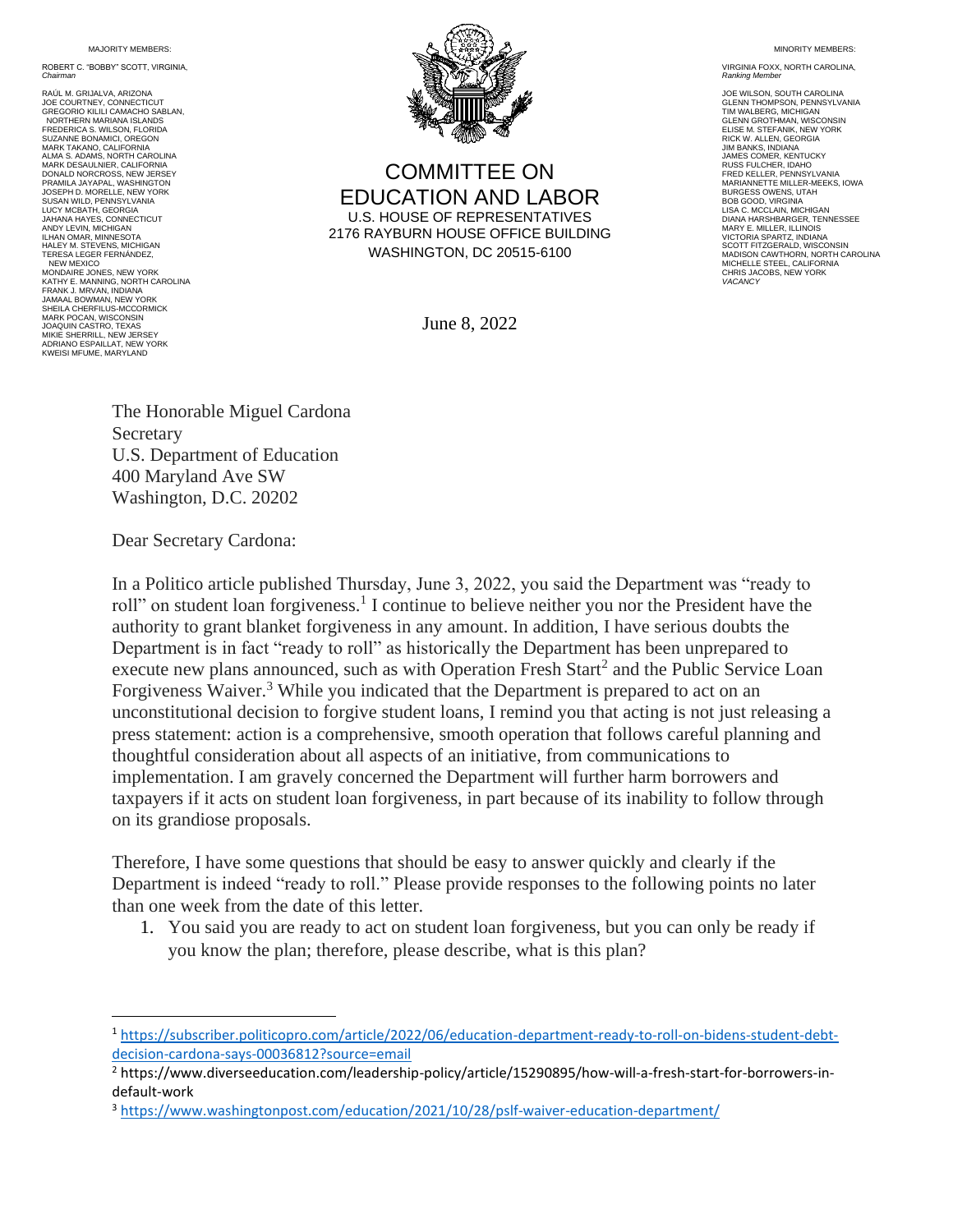MA **JORITY MEMBERS:** 

ROBERT C. "BOBBY" SCOTT, VIRGINIA, *Chairman* 

RAÚL M. GRIJALVA, ARIZONA JOE COURTNEY, CONNECTICUT GREGORIO KILILI CAMACHO SABLAN, NORTHERN MARIANA ISLANDS FREDERICA S. WILSON, FLORIDA SUZANNE BONAMICI, OREGON MARK TAKANO, CALIFORNIA ALMA S. ADAMS, NORTH CAROLINA MARK DESAULNIER, CALIFORNIA DONALD NORCROSS, NEW JERSEY PRAMILA JAYAPAL, WASHINGTON JOSEPH D. MORELLE, NEW YORK SUSAN WILD, PENNSYLVANIA LUCY MCBATH, GEORGIA JAHANA HAYES, CONNECTICUT ANDY LEVIN, MICHIGAN ILHAN OMAR, MINNESOTA<br>HALEY M. STEVENS, MICHIGAN<br>TERESA LEGER FERNÁNDEZ, NEW MEXICO MONDAIRE JONES, NEW YORK KATHY E. MANNING, NORTH CAROLINA FRANK J. MRVAN, INDIANA JAMAAL BOWMAN, NEW YORK SHEILA CHERFILUS-MCCORMICK MARK POCAN, WISCONSIN JOAQUIN CASTRO, TEXAS MIKIE SHERRILL, NEW JERSEY ADRIANO ESPAILLAT, NEW YORK KWEISI MFUME, MARYLAND



COMMITTEE ON EDUCATION AND LABOR U.S. HOUSE OF REPRESENTATIVES 2176 RAYBURN HOUSE OFFICE BUILDING WASHINGTON, DC 20515-6100

June 8, 2022

MINORITY MEMBERS:

VIRGINIA FOXX, NORTH CAROLINA, **Ranking Member** 

JOE WILSON, SOUTH CAROLINA GLENN THOMPSON, PENNSYLVANIA TIM WALBERG, MICHIGAN GLENN GROTHMAN, WISCONSIN ELISE M. STEFANIK, NEW YORK RICK W. ALLEN, GEORGIA JIM BANKS, INDIANA JAMES COMER, KENTUCKY RUSS FULCHER, IDAHO FRED KELLER, PENNSYLVANIA MARIANNETTE MILLER-MEEKS, IOWA BURGESS OWENS, UTAH BOB GOOD, VIRGINIA LISA C. MCCLAIN, MICHIGAN DIANA HARSHBARGER, TENNESSEE MARY E. MILLER, ILLINOIS VICTORIA SPARTZ, INDIANA SCOTT FITZGERALD, WISCONSIN MADISON CAWTHORN, NORTH CAROLINA MICHELLE STEEL, CALIFORNIA CHRIS JACOBS, NEW YORK *VACANCY*

The Honorable Miguel Cardona Secretary U.S. Department of Education 400 Maryland Ave SW Washington, D.C. 20202

Dear Secretary Cardona:

In a Politico article published Thursday, June 3, 2022, you said the Department was "ready to roll" on student loan forgiveness.<sup>1</sup> I continue to believe neither you nor the President have the authority to grant blanket forgiveness in any amount. In addition, I have serious doubts the Department is in fact "ready to roll" as historically the Department has been unprepared to execute new plans announced, such as with Operation Fresh Start<sup>2</sup> and the Public Service Loan Forgiveness Waiver.<sup>3</sup> While you indicated that the Department is prepared to act on an unconstitutional decision to forgive student loans, I remind you that acting is not just releasing a press statement: action is a comprehensive, smooth operation that follows careful planning and thoughtful consideration about all aspects of an initiative, from communications to implementation. I am gravely concerned the Department will further harm borrowers and taxpayers if it acts on student loan forgiveness, in part because of its inability to follow through on its grandiose proposals.

Therefore, I have some questions that should be easy to answer quickly and clearly if the Department is indeed "ready to roll." Please provide responses to the following points no later than one week from the date of this letter.

1. You said you are ready to act on student loan forgiveness, but you can only be ready if you know the plan; therefore, please describe, what is this plan?

<sup>1</sup> [https://subscriber.politicopro.com/article/2022/06/education-department-ready-to-roll-on-bidens-student-debt](https://subscriber.politicopro.com/article/2022/06/education-department-ready-to-roll-on-bidens-student-debt-decision-cardona-says-00036812?source=email)[decision-cardona-says-00036812?source=email](https://subscriber.politicopro.com/article/2022/06/education-department-ready-to-roll-on-bidens-student-debt-decision-cardona-says-00036812?source=email)

<sup>2</sup> https://www.diverseeducation.com/leadership-policy/article/15290895/how-will-a-fresh-start-for-borrowers-indefault-work

<sup>3</sup> <https://www.washingtonpost.com/education/2021/10/28/pslf-waiver-education-department/>